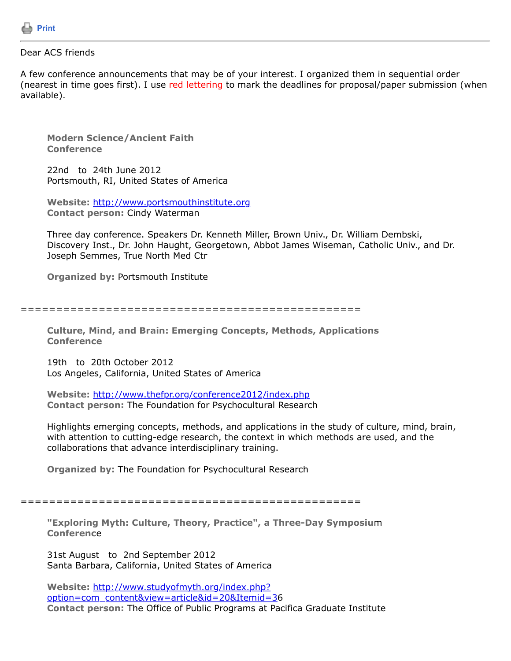

## Dear ACS friends

A few conference announcements that may be of your interest. I organized them in sequential order (nearest in time goes first). I use red lettering to mark the deadlines for proposal/paper submission (when available).

**Modern Science/Ancient Faith Conference**

22nd to 24th June 2012 Portsmouth, RI, United States of America

**Website:** [http://www.portsmouthinstitute.org](http://www.portsmouthinstitute.org/) **Contact person:** Cindy Waterman

Three day conference. Speakers Dr. Kenneth Miller, Brown Univ., Dr. William Dembski, Discovery Inst., Dr. John Haught, Georgetown, Abbot James Wiseman, Catholic Univ., and Dr. Joseph Semmes, True North Med Ctr

**Organized by:** Portsmouth Institute

================================================

**Culture, Mind, and Brain: Emerging Concepts, Methods, Applications Conference**

19th to 20th October 2012 Los Angeles, California, United States of America

**Website:** <http://www.thefpr.org/conference2012/index.php> **Contact person:** The Foundation for Psychocultural Research

Highlights emerging concepts, methods, and applications in the study of culture, mind, brain, with attention to cutting-edge research, the context in which methods are used, and the collaborations that advance interdisciplinary training.

**Organized by:** The Foundation for Psychocultural Research

================================================

**"Exploring Myth: Culture, Theory, Practice", a Three-Day Symposiu**m **Conferenc**e

31st August to 2nd September 2012 Santa Barbara, California, United States of America

**Website:** http://www.studyofmyth.org/index.php? [option=com\\_content&view=article&id=20&Itemid=36](http://www.studyofmyth.org/index.php?option=com_content&view=article&id=20&Itemid=3) **Contact person:** The Office of Public Programs at Pacifica Graduate Institute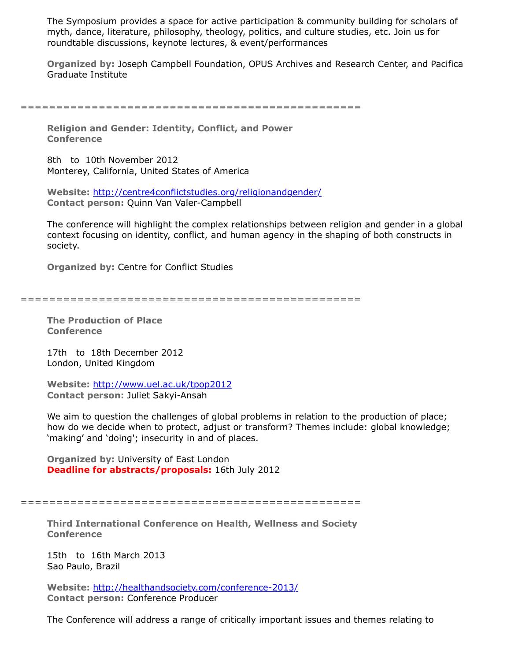The Symposium provides a space for active participation & community building for scholars of myth, dance, literature, philosophy, theology, politics, and culture studies, etc. Join us for roundtable discussions, keynote lectures, & event/performances

**Organized by:** Joseph Campbell Foundation, OPUS Archives and Research Center, and Pacifica Graduate Institute

================================================

**Religion and Gender: Identity, Conflict, and Power Conference**

8th to 10th November 2012 Monterey, California, United States of America

**Website:** <http://centre4conflictstudies.org/religionandgender/> **Contact person:** Quinn Van Valer-Campbell

The conference will highlight the complex relationships between religion and gender in a global context focusing on identity, conflict, and human agency in the shaping of both constructs in society.

**Organized by:** Centre for Conflict Studies

================================================

**The Production of Place Conference**

17th to 18th December 2012 London, United Kingdom

**Website:** <http://www.uel.ac.uk/tpop2012> **Contact person:** Juliet Sakyi-Ansah

We aim to question the challenges of global problems in relation to the production of place; how do we decide when to protect, adjust or transform? Themes include: global knowledge; 'making' and 'doing'; insecurity in and of places.

**Organized by:** University of East London **Deadline for abstracts/proposals:** 16th July 2012

================================================

**Third International Conference on Health, Wellness and Society Conference**

15th to 16th March 2013 Sao Paulo, Brazil

**Website:** <http://healthandsociety.com/conference-2013/> **Contact person:** Conference Producer

The Conference will address a range of critically important issues and themes relating to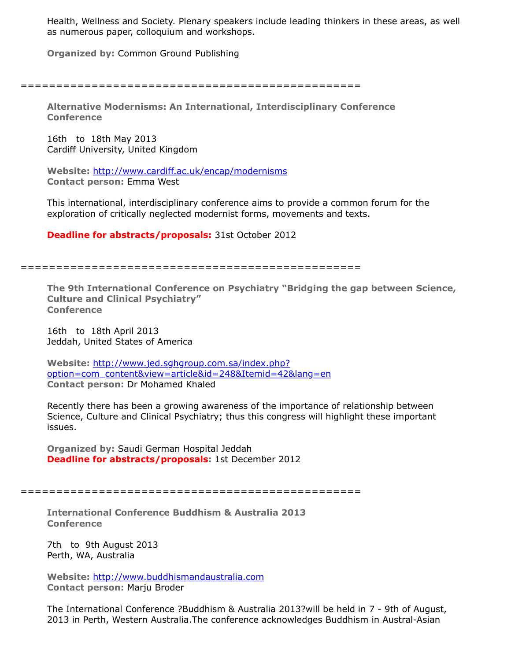Health, Wellness and Society. Plenary speakers include leading thinkers in these areas, as well as numerous paper, colloquium and workshops.

**Organized by:** Common Ground Publishing

================================================

**Alternative Modernisms: An International, Interdisciplinary Conference Conference**

16th to 18th May 2013 Cardiff University, United Kingdom

**Website:** <http://www.cardiff.ac.uk/encap/modernisms> **Contact person:** Emma West

This international, interdisciplinary conference aims to provide a common forum for the exploration of critically neglected modernist forms, movements and texts.

**Deadline for abstracts/proposals:** 31st October 2012

================================================

**The 9th International Conference on Psychiatry "Bridging the gap between Science, Culture and Clinical Psychiatry" Conference**

16th to 18th April 2013 Jeddah, United States of America

**Website:** http://www.jed.sghgroup.com.sa/index.php? [option=com\\_content&view=article&id=248&Itemid=42&lang=en](http://www.jed.sghgroup.com.sa/index.php?option=com_content&view=article&id=248&Itemid=42&lang=en) **Contact person:** Dr Mohamed Khaled

Recently there has been a growing awareness of the importance of relationship between Science, Culture and Clinical Psychiatry; thus this congress will highlight these important issues.

**Organized by:** Saudi German Hospital Jeddah **Deadline for abstracts/proposals:** 1st December 2012

================================================

**International Conference Buddhism & Australia 2013 Conference**

7th to 9th August 2013 Perth, WA, Australia

**Website:** [http://www.buddhismandaustralia.com](http://www.buddhismandaustralia.com/) **Contact person:** Marju Broder

The International Conference ?Buddhism & Australia 2013?will be held in 7 - 9th of August, 2013 in Perth, Western Australia.The conference acknowledges Buddhism in Austral-Asian